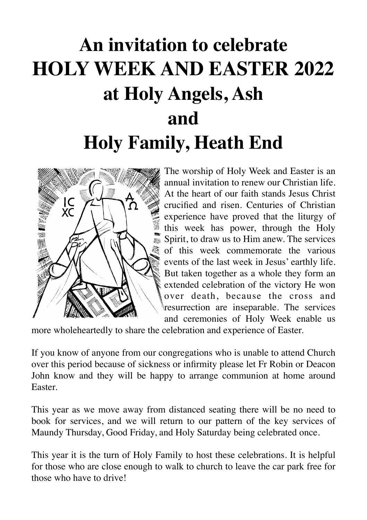# **An invitation to celebrate HOLY WEEK AND EASTER 2022 at Holy Angels, Ash and Holy Family, Heath End**



The worship of Holy Week and Easter is an annual invitation to renew our Christian life. At the heart of our faith stands Jesus Christ crucified and risen. Centuries of Christian experience have proved that the liturgy of this week has power, through the Holy Spirit, to draw us to Him anew. The services of this week commemorate the various events of the last week in Jesus' earthly life. But taken together as a whole they form an extended celebration of the victory He won over death, because the cross and resurrection are inseparable. The services and ceremonies of Holy Week enable us

more wholeheartedly to share the celebration and experience of Easter.

If you know of anyone from our congregations who is unable to attend Church over this period because of sickness or infirmity please let Fr Robin or Deacon John know and they will be happy to arrange communion at home around Easter.

This year as we move away from distanced seating there will be no need to book for services, and we will return to our pattern of the key services of Maundy Thursday, Good Friday, and Holy Saturday being celebrated once.

This year it is the turn of Holy Family to host these celebrations. It is helpful for those who are close enough to walk to church to leave the car park free for those who have to drive!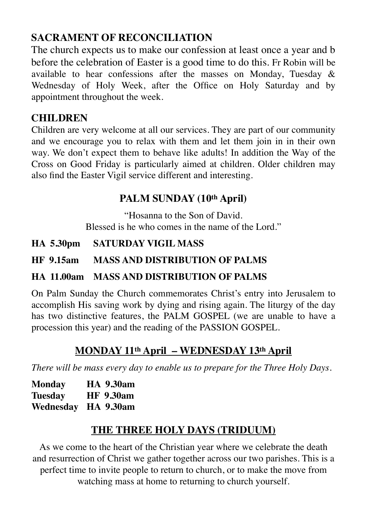# **SACRAMENT OF RECONCILIATION**

The church expects us to make our confession at least once a year and b before the celebration of Easter is a good time to do this. Fr Robin will be available to hear confessions after the masses on Monday, Tuesday  $\&$ Wednesday of Holy Week, after the Office on Holy Saturday and by appointment throughout the week.

# **CHILDREN**

Children are very welcome at all our services. They are part of our community and we encourage you to relax with them and let them join in in their own way. We don't expect them to behave like adults! In addition the Way of the Cross on Good Friday is particularly aimed at children. Older children may also find the Easter Vigil service different and interesting.

# **PALM SUNDAY (10th April)**

"Hosanna to the Son of David. Blessed is he who comes in the name of the Lord."

## **HA 5.30pm SATURDAY VIGIL MASS**

## **HF 9.15am MASS AND DISTRIBUTION OF PALMS**

## **HA 11.00am MASS AND DISTRIBUTION OF PALMS**

On Palm Sunday the Church commemorates Christ's entry into Jerusalem to accomplish His saving work by dying and rising again. The liturgy of the day has two distinctive features, the PALM GOSPEL (we are unable to have a procession this year) and the reading of the PASSION GOSPEL.

# **MONDAY 11th April – WEDNESDAY 13th April**

*There will be mass every day to enable us to prepare for the Three Holy Days.*

| <b>Monday</b> | <b>HA 9.30am</b>    |
|---------------|---------------------|
| Tuesday       | <b>HF</b> 9.30am    |
|               | Wednesday HA 9.30am |

# **THE THREE HOLY DAYS (TRIDUUM)**

As we come to the heart of the Christian year where we celebrate the death and resurrection of Christ we gather together across our two parishes. This is a perfect time to invite people to return to church, or to make the move from watching mass at home to returning to church yourself.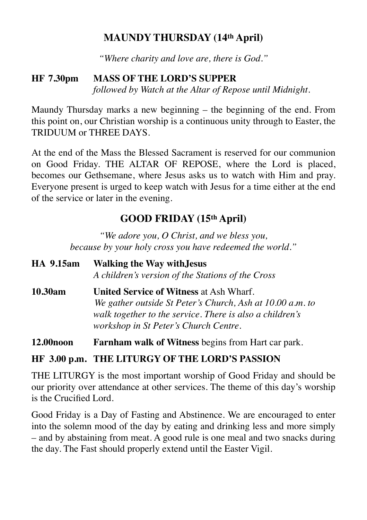## **MAUNDY THURSDAY (14th April)**

*"Where charity and love are, there is God."*

#### **HF 7.30pm MASS OF THE LORD'S SUPPER** *followed by Watch at the Altar of Repose until Midnight.*

Maundy Thursday marks a new beginning – the beginning of the end. From this point on, our Christian worship is a continuous unity through to Easter, the TRIDUUM or THREE DAYS.

At the end of the Mass the Blessed Sacrament is reserved for our communion on Good Friday. THE ALTAR OF REPOSE, where the Lord is placed, becomes our Gethsemane, where Jesus asks us to watch with Him and pray. Everyone present is urged to keep watch with Jesus for a time either at the end of the service or later in the evening.

# **GOOD FRIDAY (15th April)**

*"We adore you, O Christ, and we bless you, because by your holy cross you have redeemed the world."*

| HA 9.15am             | <b>Walking the Way with Jesus</b><br>A children's version of the Stations of the Cross                                                                                                                           |
|-----------------------|------------------------------------------------------------------------------------------------------------------------------------------------------------------------------------------------------------------|
| 10.30am               | <b>United Service of Witness at Ash Wharf.</b><br>We gather outside St Peter's Church, Ash at 10.00 a.m. to<br>walk together to the service. There is also a children's<br>workshop in St Peter's Church Centre. |
| 12.00 <sub>noon</sub> | <b>Farnham walk of Witness begins from Hart car park.</b>                                                                                                                                                        |

## **HF 3.00 p.m. THE LITURGY OF THE LORD'S PASSION**

THE LITURGY is the most important worship of Good Friday and should be our priority over attendance at other services. The theme of this day's worship is the Crucified Lord.

Good Friday is a Day of Fasting and Abstinence. We are encouraged to enter into the solemn mood of the day by eating and drinking less and more simply – and by abstaining from meat. A good rule is one meal and two snacks during the day. The Fast should properly extend until the Easter Vigil.